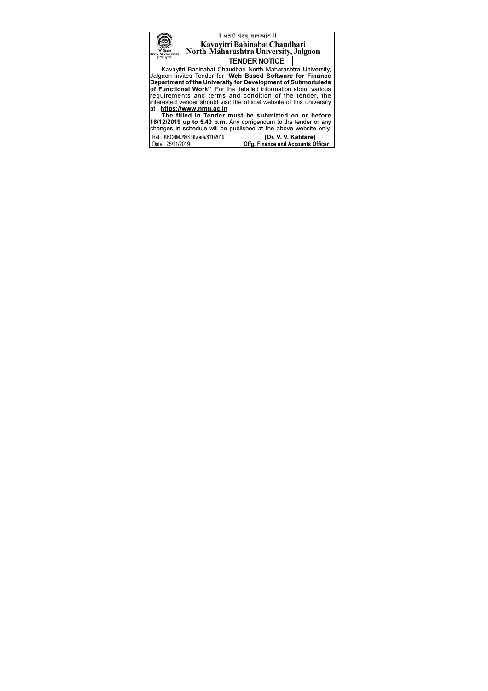|                                                                        | ll अंतरी पेटवू ज्ञानज्योत ll                                     |  |  |  |  |
|------------------------------------------------------------------------|------------------------------------------------------------------|--|--|--|--|
| Kavayitri Bahinabai Chaudhari                                          |                                                                  |  |  |  |  |
|                                                                        |                                                                  |  |  |  |  |
|                                                                        | North Maharashtra University, Jalgaon                            |  |  |  |  |
| (3rd Cycle)                                                            | <b>TENDER NOTICE</b>                                             |  |  |  |  |
|                                                                        | Kavayitri Bahinabai Chaudhari North Maharashtra University,      |  |  |  |  |
| Jalgaon invites Tender for "Web Based Software for Finance             |                                                                  |  |  |  |  |
|                                                                        | Department of the University for Development of Submoduleds      |  |  |  |  |
|                                                                        |                                                                  |  |  |  |  |
| of Functional Work". For the detailed information about various        |                                                                  |  |  |  |  |
| requirements and terms and condition of the tender, the                |                                                                  |  |  |  |  |
| interested vender should visit the official website of this university |                                                                  |  |  |  |  |
| at https://www.nmu.ac.in                                               |                                                                  |  |  |  |  |
| The filled in Tender must be submitted on or before                    |                                                                  |  |  |  |  |
| 16/12/2019 up to 5.40 p.m. Any corrigendum to the tender or any        |                                                                  |  |  |  |  |
|                                                                        |                                                                  |  |  |  |  |
|                                                                        | changes in schedule will be published at the above website only. |  |  |  |  |
| Ref.: KBCNMU/8/Software/811/2019                                       | (Dr. V. V. Katdare)                                              |  |  |  |  |
| Date: 25/11/2019                                                       | Offg. Finance and Accounts Officer                               |  |  |  |  |
|                                                                        |                                                                  |  |  |  |  |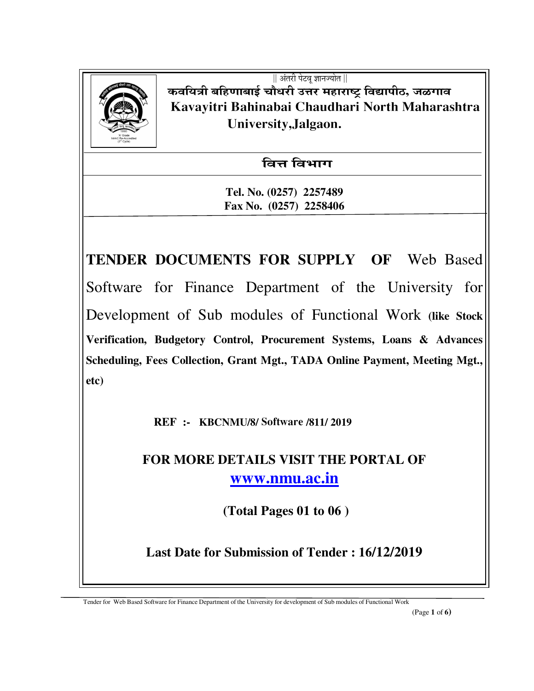

 $\parallel$  अंतरी पेटव ज्ञानज्योत  $\parallel$ कवयित्री बहिणाबाई चौधरी उत्तर महाराष्ट्र विद्यापीठ, जळगाव  **Kavayitri Bahinabai Chaudhari North Maharashtra University,Jalgaon.** 

<u>वित्त विभाग</u>

**Tel. No. (0257) 2257489 Fax No. (0257) 2258406** 

**TENDER DOCUMENTS FOR SUPPLY OF** Web Based Software for Finance Department of the University for Development of Sub modules of Functional Work **(like Stock Verification, Budgetory Control, Procurement Systems, Loans & Advances Scheduling, Fees Collection, Grant Mgt., TADA Online Payment, Meeting Mgt., etc)**

 **REF :- KBCNMU/8/ Software /811/ 2019** 

**FOR MORE DETAILS VISIT THE PORTAL OF www.nmu.ac.in**

 **(Total Pages 01 to 06 )** 

**Last Date for Submission of Tender : 16/12/2019**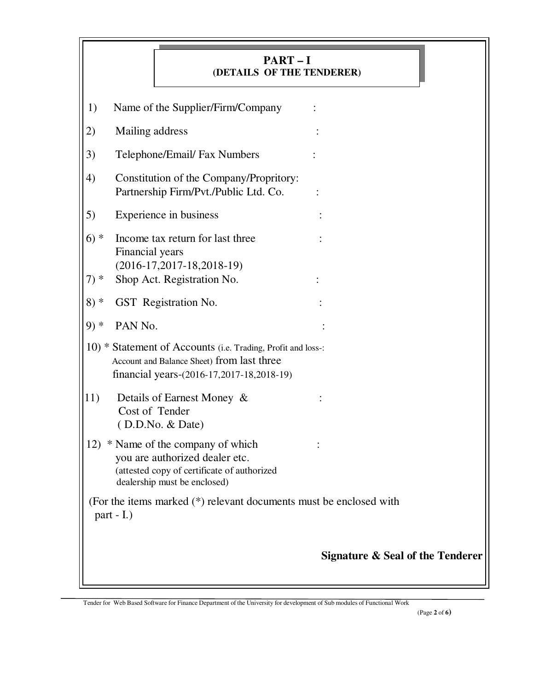|        | $PART-I$<br>(DETAILS OF THE TENDERER)                                                                                                                   |                                             |
|--------|---------------------------------------------------------------------------------------------------------------------------------------------------------|---------------------------------------------|
| 1)     | Name of the Supplier/Firm/Company                                                                                                                       |                                             |
| 2)     | Mailing address                                                                                                                                         |                                             |
| 3)     | Telephone/Email/ Fax Numbers                                                                                                                            |                                             |
| 4)     | Constitution of the Company/Propritory:<br>Partnership Firm/Pvt./Public Ltd. Co.                                                                        |                                             |
| 5)     | Experience in business                                                                                                                                  |                                             |
| $6)*$  | Income tax return for last three<br>Financial years<br>$(2016-17,2017-18,2018-19)$                                                                      |                                             |
| $7) *$ | Shop Act. Registration No.                                                                                                                              |                                             |
| $8) *$ | GST Registration No.                                                                                                                                    |                                             |
| $9)*$  | PAN No.                                                                                                                                                 |                                             |
|        | 10) * Statement of Accounts (i.e. Trading, Profit and loss-:<br>Account and Balance Sheet) from last three<br>financial years-(2016-17,2017-18,2018-19) |                                             |
| 11)    | Details of Earnest Money &<br>Cost of Tender<br>(D.D.No. & Date)                                                                                        |                                             |
| 12)    | * Name of the company of which<br>you are authorized dealer etc.<br>(attested copy of certificate of authorized<br>dealership must be enclosed)         |                                             |
|        | (For the items marked (*) relevant documents must be enclosed with<br>part - I.)                                                                        |                                             |
|        |                                                                                                                                                         | <b>Signature &amp; Seal of the Tenderer</b> |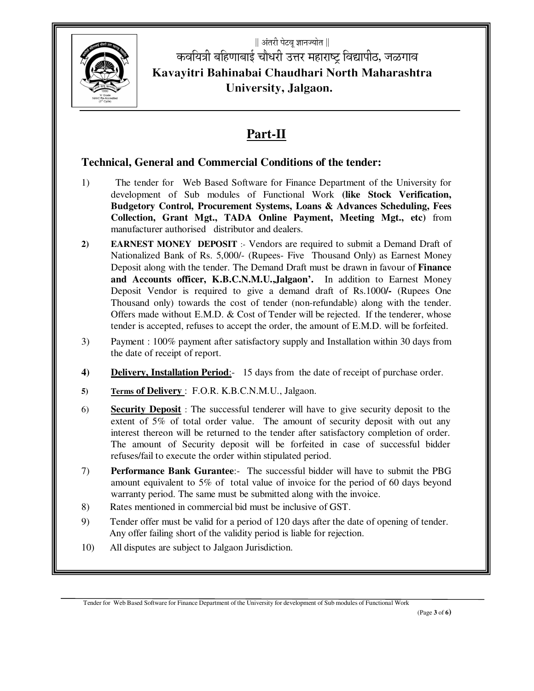

|| अंतरी पेटवू ज्ञानज्योत ||  $\mathscr{L}(\mathbb{R}^d)$  किञयित्री बहिणाबाई चौधरी उत्तर महाराष्ट्र विद्यापीठ, जळगाव **Kavayitri Bahinabai Chaudhari North Maharashtra University, Jalgaon.** 

## **Part-II**

#### **Technical, General and Commercial Conditions of the tender:**

- 1) The tender for Web Based Software for Finance Department of the University for development of Sub modules of Functional Work **(like Stock Verification, Budgetory Control, Procurement Systems, Loans & Advances Scheduling, Fees Collection, Grant Mgt., TADA Online Payment, Meeting Mgt., etc)** from manufacturer authorised distributor and dealers.
- **2) EARNEST MONEY DEPOSIT** :- Vendors are required to submit a Demand Draft of Nationalized Bank of Rs. 5,000/- (Rupees- Five Thousand Only) as Earnest Money Deposit along with the tender. The Demand Draft must be drawn in favour of **Finance and Accounts officer, K.B.C.N.M.U.,Jalgaon'.** In addition to Earnest Money Deposit Vendor is required to give a demand draft of Rs.1000**/-** (Rupees One Thousand only) towards the cost of tender (non-refundable) along with the tender. Offers made without E.M.D. & Cost of Tender will be rejected. If the tenderer, whose tender is accepted, refuses to accept the order, the amount of E.M.D. will be forfeited.
- 3) Payment : 100% payment after satisfactory supply and Installation within 30 days from the date of receipt of report.
- **4) Delivery, Installation Period**:- 15 days from the date of receipt of purchase order.
- **5) Terms of Delivery** : F.O.R. K.B.C.N.M.U., Jalgaon.
- 6) **Security Deposit** : The successful tenderer will have to give security deposit to the extent of 5% of total order value. The amount of security deposit with out any interest thereon will be returned to the tender after satisfactory completion of order. The amount of Security deposit will be forfeited in case of successful bidder refuses/fail to execute the order within stipulated period.
- 7) **Performance Bank Gurantee**:- The successful bidder will have to submit the PBG amount equivalent to 5% of total value of invoice for the period of 60 days beyond warranty period. The same must be submitted along with the invoice.
- 8) Rates mentioned in commercial bid must be inclusive of GST.
- 9) Tender offer must be valid for a period of 120 days after the date of opening of tender. Any offer failing short of the validity period is liable for rejection.
- 10) All disputes are subject to Jalgaon Jurisdiction.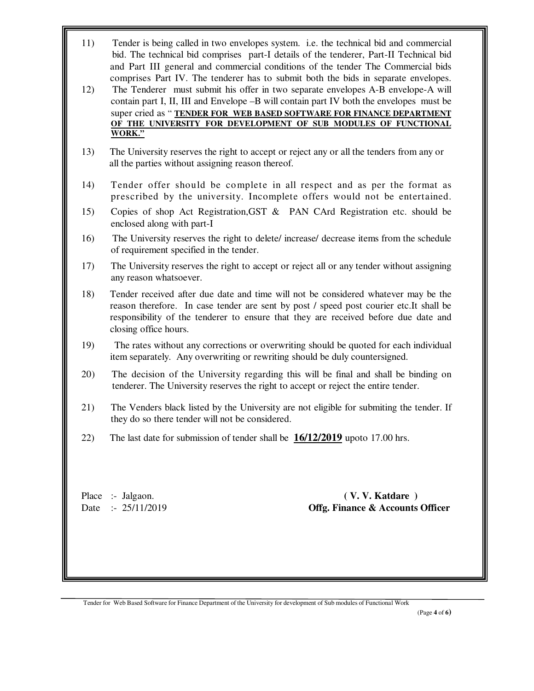- 11) Tender is being called in two envelopes system. i.e. the technical bid and commercial bid. The technical bid comprises part-I details of the tenderer, Part-II Technical bid and Part III general and commercial conditions of the tender The Commercial bids comprises Part IV. The tenderer has to submit both the bids in separate envelopes.
- 12) The Tenderer must submit his offer in two separate envelopes A-B envelope-A will contain part I, II, III and Envelope –B will contain part IV both the envelopes must be super cried as " **TENDER FOR WEB BASED SOFTWARE FOR FINANCE DEPARTMENT OF THE UNIVERSITY FOR DEVELOPMENT OF SUB MODULES OF FUNCTIONAL WORK."**
- 13) The University reserves the right to accept or reject any or all the tenders from any or all the parties without assigning reason thereof.
- 14) Tender offer should be complete in all respect and as per the format as prescribed by the university. Incomplete offers would not be entertained.
- 15) Copies of shop Act Registration,GST & PAN CArd Registration etc. should be enclosed along with part-I
- 16) The University reserves the right to delete/ increase/ decrease items from the schedule of requirement specified in the tender.
- 17) The University reserves the right to accept or reject all or any tender without assigning any reason whatsoever.
- 18) Tender received after due date and time will not be considered whatever may be the reason therefore. In case tender are sent by post / speed post courier etc.It shall be responsibility of the tenderer to ensure that they are received before due date and closing office hours.
- 19) The rates without any corrections or overwriting should be quoted for each individual item separately. Any overwriting or rewriting should be duly countersigned.
- 20) The decision of the University regarding this will be final and shall be binding on tenderer. The University reserves the right to accept or reject the entire tender.
- 21) The Venders black listed by the University are not eligible for submiting the tender. If they do so there tender will not be considered.
- 22) The last date for submission of tender shall be **16/12/2019** upoto 17.00 hrs.

Place :- Jalgaon. **(V. V. Katdare )** Date :- 25/11/2019 **Offg. Finance & Accounts Officer**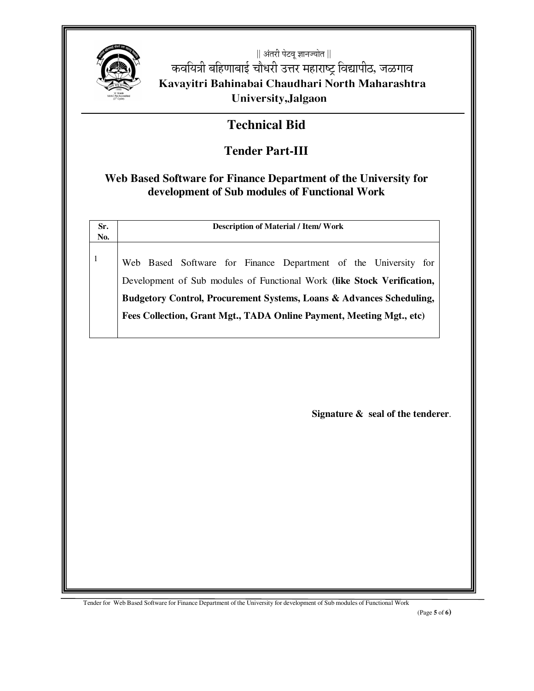

|| अंतरी पेटवू ज्ञानज्योत || कवयित्री बहिणाबाई चौधरी उत्तर महाराष्ट्र विद्यापीठ, जळगाव Kavayitri Bahinabai Chaudhari North Maharashtra University, Jalgaon

## **Technical Bid**

# **Tender Part-III**

### Web Based Software for Finance Department of the University for development of Sub modules of Functional Work

| Sr.<br>No.   | <b>Description of Material / Item/ Work</b>                             |  |  |  |
|--------------|-------------------------------------------------------------------------|--|--|--|
| $\mathbf{1}$ | Web Based Software for Finance Department of the University for         |  |  |  |
|              | Development of Sub modules of Functional Work (like Stock Verification, |  |  |  |
|              | Budgetory Control, Procurement Systems, Loans & Advances Scheduling,    |  |  |  |
|              | Fees Collection, Grant Mgt., TADA Online Payment, Meeting Mgt., etc)    |  |  |  |
|              |                                                                         |  |  |  |
|              |                                                                         |  |  |  |
|              |                                                                         |  |  |  |
|              |                                                                         |  |  |  |
|              |                                                                         |  |  |  |
|              |                                                                         |  |  |  |
|              |                                                                         |  |  |  |
|              |                                                                         |  |  |  |
|              |                                                                         |  |  |  |
|              | Signature $\&$ seal of the tenderer.                                    |  |  |  |